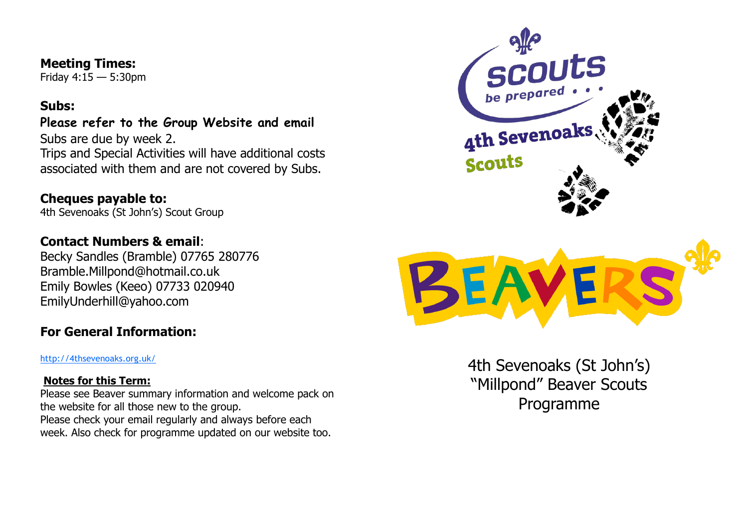#### **Meeting Times:**

Friday 4:15 — 5:30pm

#### **Subs:**

# **Please refer to the Group Website and email**

Subs are due by week 2. Trips and Special Activities will have additional costs associated with them and are not covered by Subs.

### **Cheques payable to:**

4th Sevenoaks (St John's) Scout Group

## **Contact Numbers & email**:

Becky Sandles (Bramble) 07765 280776 Bramble.Millpond@hotmail.co.uk Emily Bowles (Keeo) 07733 020940 EmilyUnderhill@yahoo.com

## **For General Information:**

<http://4thsevenoaks.org.uk/>

#### **Notes for this Term:**

Please see Beaver summary information and welcome pack on the website for all those new to the group. Please check your email regularly and always before each week. Also check for programme updated on our website too.





4th Sevenoaks (St John's) "Millpond" Beaver Scouts Programme